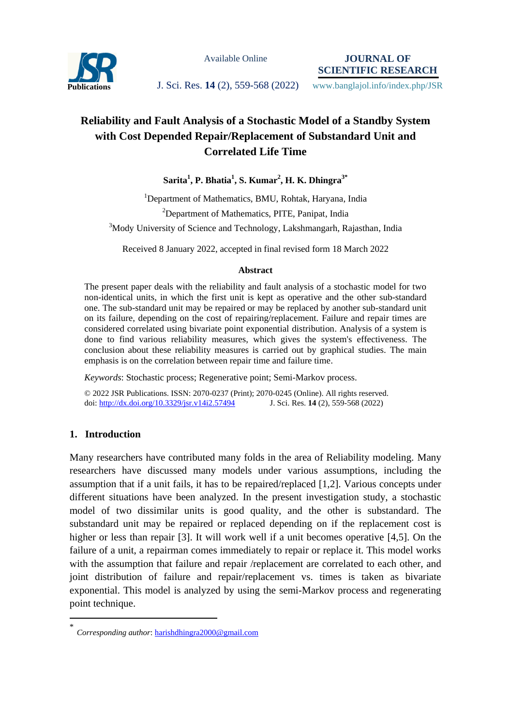

Available Online

**JOURNAL OF SCIENTIFIC RESEARCH**

## **Publications J. Sci. Res. 14 (2), 559-568 (2022)** www.banglajol.info/index.php/JSR

# **Reliability and Fault Analysis of a Stochastic Model of a Standby System with Cost Depended Repair/Replacement of Substandard Unit and Correlated Life Time**

**Sarita<sup>1</sup> , P. Bhatia<sup>1</sup> , S. Kumar<sup>2</sup> , H. K. Dhingra3\***

<sup>1</sup>Department of Mathematics, BMU, Rohtak, Haryana, India <sup>2</sup>Department of Mathematics, PITE, Panipat, India <sup>3</sup>Mody University of Science and Technology, Lakshmangarh, Rajasthan, India

Received 8 January 2022, accepted in final revised form 18 March 2022

## **Abstract**

The present paper deals with the reliability and fault analysis of a stochastic model for two non-identical units, in which the first unit is kept as operative and the other sub-standard one. The sub-standard unit may be repaired or may be replaced by another sub-standard unit on its failure, depending on the cost of repairing/replacement. Failure and repair times are considered correlated using bivariate point exponential distribution. Analysis of a system is done to find various reliability measures, which gives the system's effectiveness. The conclusion about these reliability measures is carried out by graphical studies. The main emphasis is on the correlation between repair time and failure time.

*Keywords*: Stochastic process; Regenerative point; Semi-Markov process.

© 2022 JSR Publications. ISSN: 2070-0237 (Print); 2070-0245 (Online). All rights reserved. doi:<http://dx.doi.org/10.3329/jsr.v14i2.57494>J. Sci. Res. 14 (2), 559-568 (2022)

## **1. Introduction**

 $\overline{a}$ 

Many researchers have contributed many folds in the area of Reliability modeling. Many researchers have discussed many models under various assumptions, including the assumption that if a unit fails, it has to be repaired/replaced [1,2]. Various concepts under different situations have been analyzed. In the present investigation study, a stochastic model of two dissimilar units is good quality, and the other is substandard. The substandard unit may be repaired or replaced depending on if the replacement cost is higher or less than repair [3]. It will work well if a unit becomes operative [4,5]. On the failure of a unit, a repairman comes immediately to repair or replace it. This model works with the assumption that failure and repair /replacement are correlated to each other, and joint distribution of failure and repair/replacement vs. times is taken as bivariate exponential. This model is analyzed by using the semi-Markov process and regenerating point technique.

<sup>\*</sup> *Corresponding author*[: harishdhingra2000@gmail.com](mailto:harishdhingra2000@gmail.com)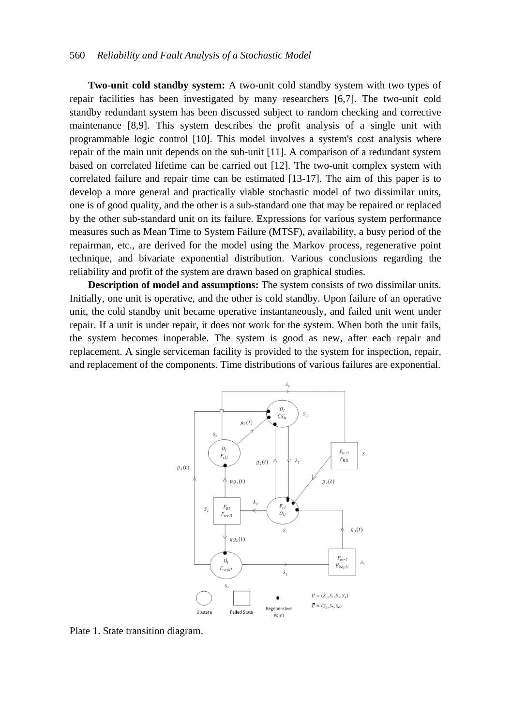#### 560 *Reliability and Fault Analysis of a Stochastic Model*

**Two-unit cold standby system:** A two-unit cold standby system with two types of repair facilities has been investigated by many researchers [6,7]. The two-unit cold standby redundant system has been discussed subject to random checking and corrective maintenance [8,9]. This system describes the profit analysis of a single unit with programmable logic control [10]. This model involves a system's cost analysis where repair of the main unit depends on the sub-unit [11]. A comparison of a redundant system based on correlated lifetime can be carried out [12]. The two-unit complex system with correlated failure and repair time can be estimated [13-17]. The aim of this paper is to develop a more general and practically viable stochastic model of two dissimilar units, one is of good quality, and the other is a sub-standard one that may be repaired or replaced by the other sub-standard unit on its failure. Expressions for various system performance measures such as Mean Time to System Failure (MTSF), availability, a busy period of the repairman, etc., are derived for the model using the Markov process, regenerative point technique, and bivariate exponential distribution. Various conclusions regarding the reliability and profit of the system are drawn based on graphical studies.

**Description of model and assumptions:** The system consists of two dissimilar units. Initially, one unit is operative, and the other is cold standby. Upon failure of an operative unit, the cold standby unit became operative instantaneously, and failed unit went under repair. If a unit is under repair, it does not work for the system. When both the unit fails, the system becomes inoperable. The system is good as new, after each repair and replacement. A single serviceman facility is provided to the system for inspection, repair, and replacement of the components. Time distributions of various failures are exponential.



Plate 1. State transition diagram.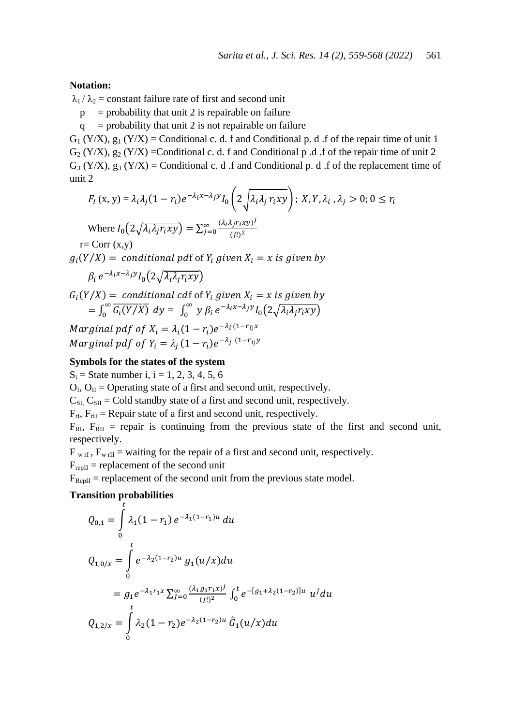#### **Notation:**

 $\lambda_1 / \lambda_2$  = constant failure rate of first and second unit

 $p =$  probability that unit 2 is repairable on failure

 $q =$  probability that unit 2 is not repairable on failure

 $G_1 (Y/X), g_1 (Y/X) =$ Conditional c. d. f and Conditional p. d. f of the repair time of unit 1  $G_2$  (Y/X),  $g_2$  (Y/X) = Conditional c. d. f and Conditional p .d .f of the repair time of unit 2  $G_3$  (Y/X),  $g_3$  (Y/X) = Conditional c. d .f and Conditional p. d .f of the replacement time of unit 2

$$
F_I(x, y) = \lambda_i \lambda_j (1 - r_i) e^{-\lambda_i x - \lambda_j y} I_0 \left( 2 \sqrt{\lambda_i \lambda_j r_i xy} \right); X, Y, \lambda_i, \lambda_j > 0; 0 \le r_i
$$

Where  $I_0\left(2\sqrt{\lambda_i\lambda_jr_ixy}\right) = \sum_{j=0}^{\infty} \frac{(\lambda_i\lambda_jr_ixy)^j}{(y_i)^2}$  $\int_0^\infty$   $\frac{(\lambda_i \lambda_j r_i x)}{(j!)^2}$  $r = Corr(x,y)$ 

 $g_i(Y/X) = conditional pdf$  of

$$
\beta_i e^{-\lambda_i x - \lambda_j y} I_0(2\sqrt{\lambda_i \lambda_j r_i xy})
$$

 $G_i(Y/X) = conditional cdf$  of  $=\int_0^\infty \overline{G_i(Y/X)}$  $\int_0^\infty \overline{G_i(Y/X)} \, dy = \int_0^\infty y \, \beta_i \, e^{-\lambda_i x - \lambda_j y} I_0 \big( 2\sqrt{\lambda_i \lambda_j r_i xy} \big)$  $\bf{0}$ 

Marginal pdf of  $X_i = \lambda_i (1 - r_i) e^{-\lambda_i (1 - r_i)x}$ Marginal pdf of  $Y_i = \lambda_i (1 - r_i) e^{-\lambda_j (1 - r_i) y}$ 

#### **Symbols for the states of the system**

 $S_i$  = State number i, i = 1, 2, 3, 4, 5, 6

 $O_I$ ,  $O_{II}$  = Operating state of a first and second unit, respectively.

 $C_{\text{SL}} C_{\text{SI}} = \text{Goldi}$  standby state of a first and second unit, respectively.

 $F_{rI}$ ,  $F_{rII}$  = Repair state of a first and second unit, respectively.

 $F_{RI}$ ,  $F_{RI}$  = repair is continuing from the previous state of the first and second unit, respectively.

 $F_{w \text{rI}}$ ,  $F_{w \text{rII}}$  = waiting for the repair of a first and second unit, respectively.

 $F_{\text{reall}}$  = replacement of the second unit

 $F_{\text{Re}}$  = replacement of the second unit from the previous state model.

### **Transition probabilities**

$$
Q_{0,1} = \int_{0}^{t} \lambda_{1}(1 - r_{1}) e^{-\lambda_{1}(1 - r_{1})u} du
$$
  
\n
$$
Q_{1,0/x} = \int_{0}^{t} e^{-\lambda_{2}(1 - r_{2})u} g_{1}(u/x) du
$$
  
\n
$$
= g_{1} e^{-\lambda_{1} r_{1} x} \sum_{j=0}^{\infty} \frac{(\lambda_{1} g_{1} r_{1} x)^{j}}{(j!)^{2}} \int_{0}^{t} e^{-[g_{1} + \lambda_{2}(1 - r_{2})]u} u^{j} du
$$
  
\n
$$
Q_{1,2/x} = \int_{0}^{t} \lambda_{2}(1 - r_{2}) e^{-\lambda_{2}(1 - r_{2})u} \tilde{G}_{1}(u/x) du
$$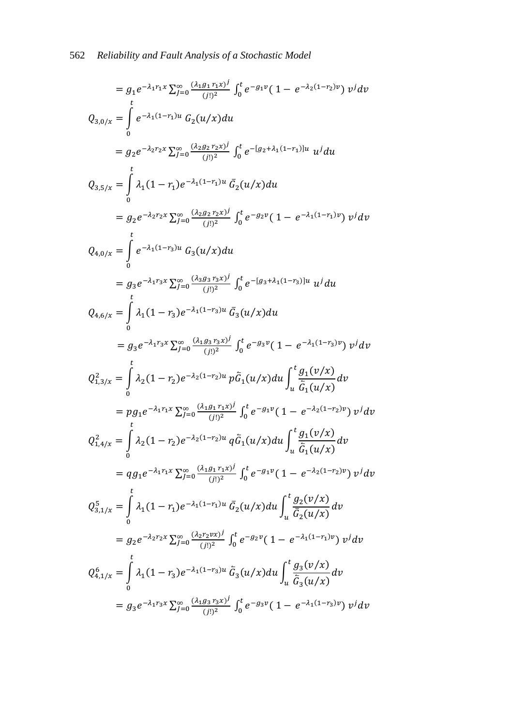$$
= g_1 e^{-\lambda_1 r_1 x} \sum_{j=0}^{\infty} \frac{(\lambda_1 g_1 r_1 x)^j}{(j!)^2} \int_0^t e^{-g_1 v} (1 - e^{-\lambda_2 (1-r_2) v}) v^j dv
$$
  
\n
$$
Q_{3,0/x} = \int_0^t e^{-\lambda_1 (1-r_1) u} G_2(u/x) du
$$
  
\n
$$
= g_2 e^{-\lambda_2 r_2 x} \sum_{j=0}^{\infty} \frac{(\lambda_2 g_2 r_2 x)^j}{(j!)^2} \int_0^t e^{-[g_2 + \lambda_1 (1-r_1)] u} u^j du
$$
  
\n
$$
Q_{3,5/x} = \int_0^t \lambda_1 (1-r_1) e^{-\lambda_1 (1-r_1) u} \bar{G}_2(u/x) du
$$
  
\n
$$
= g_2 e^{-\lambda_2 r_2 x} \sum_{j=0}^{\infty} \frac{(\lambda_2 g_2 r_2 x)^j}{(j!)^2} \int_0^t e^{-g_2 v} (1 - e^{-\lambda_1 (1-r_1) v}) v^j dv
$$
  
\n
$$
Q_{4,0/x} = \int_0^t e^{-\lambda_1 (1-r_3) u} G_3(u/x) du
$$
  
\n
$$
= g_3 e^{-\lambda_1 r_3 x} \sum_{j=0}^{\infty} \frac{(\lambda_3 g_3 r_3 x)^j}{(j!)^2} \int_0^t e^{-[g_3 + \lambda_1 (1-r_3)] u} u^j du
$$
  
\n
$$
Q_{4,6/x} = \int_0^t \lambda_1 (1-r_3) e^{-\lambda_1 (1-r_3) u} \bar{G}_3(u/x) du
$$
  
\n
$$
= g_3 e^{-\lambda_1 r_3 x} \sum_{j=0}^{\infty} \frac{(\lambda_1 g_3 r_3 x)^j}{(j!)^2} \int_0^t e^{-[g_3 + \lambda_1 (1-r_3)] u} u^j du
$$
  
\n
$$
Q_{4,6/x}^2 = \int_0^t \lambda_2 (1-r_2) e^{-\lambda_2 (1-r_2) u} p \bar{G}_1(u/x) du \int_u^t \frac{g_1(v/x)}{\bar{G}_1 (u/x)} dv
$$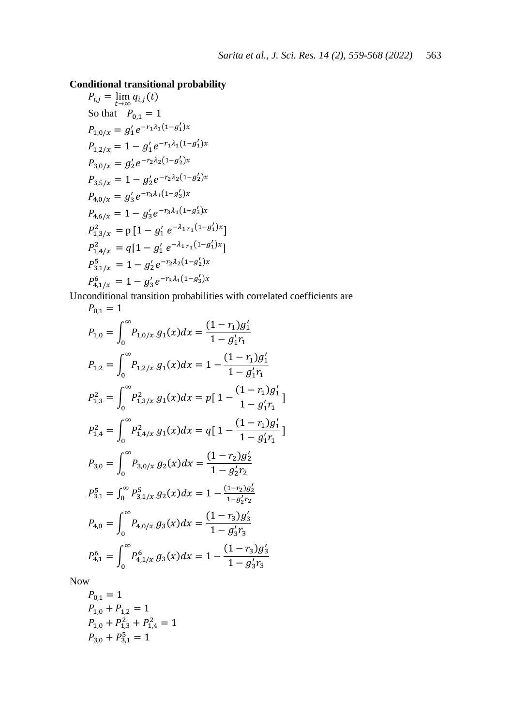## **Conditional transitional probability**

$$
P_{i,j} = \lim_{t \to \infty} q_{i,j}(t)
$$
  
\nSo that  $P_{0,1} = 1$   
\n
$$
P_{1,0/x} = g'_1 e^{-r_1 \lambda_1 (1 - g'_1)x}
$$
  
\n
$$
P_{1,2/x} = 1 - g'_1 e^{-r_1 \lambda_1 (1 - g'_1)x}
$$
  
\n
$$
P_{3,0/x} = g'_2 e^{-r_2 \lambda_2 (1 - g'_2)x}
$$
  
\n
$$
P_{4,0/x} = g'_3 e^{-r_3 \lambda_1 (1 - g'_3)x}
$$
  
\n
$$
P_{4,0/x} = 1 - g'_3 e^{-r_3 \lambda_1 (1 - g'_3)x}
$$
  
\n
$$
P_{1,3/x}^2 = p [1 - g'_1 e^{-\lambda_1 r_1 (1 - g'_1)x}]
$$
  
\n
$$
P_{1,4/x}^2 = q [1 - g'_1 e^{-\lambda_1 r_1 (1 - g'_1)x}]
$$
  
\n
$$
P_{5,1/x}^5 = 1 - g'_2 e^{-r_2 \lambda_2 (1 - g'_2)x}
$$
  
\n
$$
P_{4,1/x}^6 = 1 - g'_3 e^{-r_3 \lambda_1 (1 - g'_3)x}
$$

Unconditional transition probabilities with correlated coefficients are  $P_{\text{tot}} = 1$  $\mathbf{D}$ 

]

]

$$
P_{0,1} = 1
$$
  
\n
$$
P_{1,0} = \int_0^\infty P_{1,0/x} g_1(x) dx = \frac{(1 - r_1)g_1'}{1 - g_1' r_1}
$$
  
\n
$$
P_{1,2} = \int_0^\infty P_{1,2/x} g_1(x) dx = 1 - \frac{(1 - r_1)g_1'}{1 - g_1' r_1}
$$
  
\n
$$
P_{1,3}^2 = \int_0^\infty P_{1,3/x}^2 g_1(x) dx = p[1 - \frac{(1 - r_1)g_1'}{1 - g_1' r_1}
$$
  
\n
$$
P_{1,4}^2 = \int_0^\infty P_{1,4/x}^2 g_1(x) dx = q[1 - \frac{(1 - r_1)g_1'}{1 - g_1' r_1}
$$
  
\n
$$
P_{3,0} = \int_0^\infty P_{3,0/x} g_2(x) dx = \frac{(1 - r_2)g_2'}{1 - g_2' r_2}
$$
  
\n
$$
P_{3,1}^5 = \int_0^\infty P_{3,1/x}^5 g_2(x) dx = 1 - \frac{(1 - r_2)g_2'}{1 - g_2' r_2}
$$
  
\n
$$
P_{4,0} = \int_0^\infty P_{4,0/x} g_3(x) dx = \frac{(1 - r_3)g_3'}{1 - g_3' r_3}
$$
  
\n
$$
P_{4,1}^6 = \int_0^\infty P_{4,1/x}^6 g_3(x) dx = 1 - \frac{(1 - r_3)g_3'}{1 - g_3' r_3}
$$

Now

$$
P_{0,1} = 1
$$
  
\n
$$
P_{1,0} + P_{1,2} = 1
$$
  
\n
$$
P_{1,0} + P_{1,3}^2 + P_{1,4}^2 = 1
$$
  
\n
$$
P_{3,0} + P_{3,1}^5 = 1
$$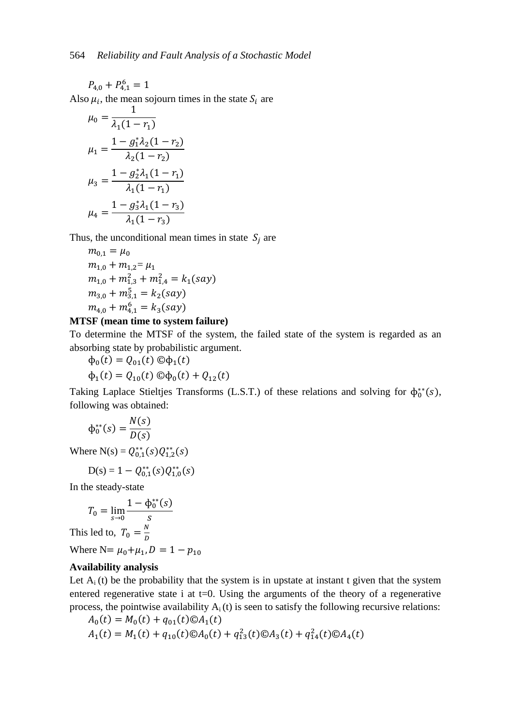$$
P_{4,0} + P_{4,1}^6 = 1
$$

Also  $\mu_i$ , the mean sojourn times in the state  $S_i$  are

$$
\mu_0 = \frac{1}{\lambda_1 (1 - r_1)}
$$
  
\n
$$
\mu_1 = \frac{1 - g_1^* \lambda_2 (1 - r_2)}{\lambda_2 (1 - r_2)}
$$
  
\n
$$
\mu_3 = \frac{1 - g_2^* \lambda_1 (1 - r_1)}{\lambda_1 (1 - r_1)}
$$
  
\n
$$
\mu_4 = \frac{1 - g_3^* \lambda_1 (1 - r_3)}{\lambda_1 (1 - r_3)}
$$

Thus, the unconditional mean times in state  $S_i$  are

$$
m_{0,1} = \mu_0
$$
  
\n
$$
m_{1,0} + m_{1,2} = \mu_1
$$
  
\n
$$
m_{1,0} + m_{1,3}^2 + m_{1,4}^2 = k_1(say)
$$
  
\n
$$
m_{3,0} + m_{3,1}^5 = k_2(say)
$$
  
\n
$$
m_{4,0} + m_{4,1}^6 = k_3(say)
$$

#### **MTSF (mean time to system failure)**

To determine the MTSF of the system, the failed state of the system is regarded as an absorbing state by probabilistic argument.

 $\phi_0(t) = Q_{01}(t) \mathbb{O} \phi_1(t)$  $\phi_1(t) = Q_{10}(t) \mathbb{O}\phi_0(t) + Q_{12}(t)$ 

Taking Laplace Stieltjes Transforms (L.S.T.) of these relations and solving for  $\phi_0^{**}(s)$ , following was obtained:

$$
\Phi_0^{**}(s) = \frac{N(s)}{D(s)}
$$

Where  $N(s) = Q_{0.1}^{**}(s)Q_{1.2}^{**}(s)$ 

$$
D(s) = 1 - Q_{0,1}^{**}(s)Q_{1,0}^{**}(s)
$$

In the steady-state

$$
T_0 = \lim_{s \to 0} \frac{1 - \phi_0^{**}(s)}{s}
$$

This led to,  $T_0 = \frac{N}{R}$ 

Where  $N = \mu_0 + \mu_1$ ,

D

#### **Availability analysis**

Let  $A_i(t)$  be the probability that the system is in upstate at instant t given that the system entered regenerative state i at  $t=0$ . Using the arguments of the theory of a regenerative process, the pointwise availability  $A_i(t)$  is seen to satisfy the following recursive relations:

$$
A_0(t) = M_0(t) + q_{01}(t) \mathbb{O}A_1(t)
$$
  
\n
$$
A_1(t) = M_1(t) + q_{10}(t) \mathbb{O}A_0(t) + q_{13}^2(t) \mathbb{O}A_3(t) + q_{14}^2(t) \mathbb{O}A_4(t)
$$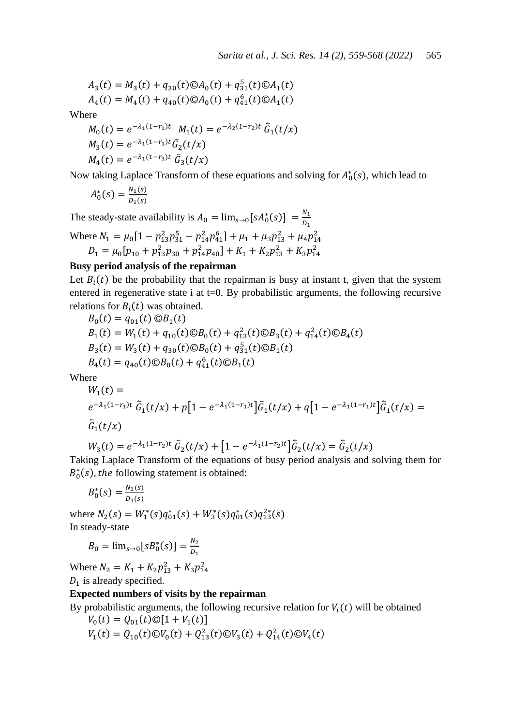( ) ( ) ( ) ( ) ( ) ( ) ( ) ( ) ( ) ( ) ( ) ( )

Where

$$
M_0(t) = e^{-\lambda_1(1-r_1)t} M_1(t) = e^{-\lambda_2(1-r_2)t} \tilde{G}_1(t/x)
$$
  
\n
$$
M_3(t) = e^{-\lambda_1(1-r_1)t} \bar{G}_2(t/x)
$$
  
\n
$$
M_4(t) = e^{-\lambda_1(1-r_3)t} \bar{G}_3(t/x)
$$

Now taking Laplace Transform of these equations and solving for  $A_0^*(s)$ , which lead to

$$
A_0^*(s) = \frac{N_1(s)}{D_1(s)}
$$

The steady-state availability is  $A_0 = \lim_{s\to 0} [sA_0^*(s)] = \frac{N}{R}$ D

Where 
$$
N_1 = \mu_0 \left[ 1 - p_{13}^2 p_{31}^5 - p_{14}^2 p_{41}^6 \right] + \mu_1 + \mu_3 p_{13}^2 + \mu_4 p_{14}^2
$$
  
\n $D_1 = \mu_0 \left[ p_{10} + p_{13}^2 p_{30} + p_{14}^2 p_{40} \right] + K_1 + K_2 p_{13}^2 + K_3 p_{14}^2$ 

## **Busy period analysis of the repairman**

Let  $B_i(t)$  be the probability that the repairman is busy at instant t, given that the system entered in regenerative state i at  $t=0$ . By probabilistic arguments, the following recursive relations for  $B_i(t)$  was obtained.

$$
B_0(t) = q_{01}(t) \, \mathbb{O}B_1(t)
$$
  
\n
$$
B_1(t) = W_1(t) + q_{10}(t) \mathbb{O}B_0(t) + q_{13}^2(t) \mathbb{O}B_3(t) + q_{14}^2(t) \mathbb{O}B_4(t)
$$
  
\n
$$
B_3(t) = W_3(t) + q_{30}(t) \mathbb{O}B_0(t) + q_{31}^5(t) \mathbb{O}B_1(t)
$$
  
\n
$$
B_4(t) = q_{40}(t) \mathbb{O}B_0(t) + q_{41}^6(t) \mathbb{O}B_1(t)
$$

Where

$$
\begin{split} &W_1(t)=\\ &e^{-\lambda_1(1-r_1)t}\,\bar{G}_1(t/x)+p\big[1-e^{-\lambda_1(1-r_1)t}\big]\bar{G}_1(t/x)+q\big[1-e^{-\lambda_1(1-r_1)t}\big]\bar{G}_1(t/x)=\\ &\bar{G}_1(t/x) \end{split}
$$

$$
W_3(t) = e^{-\lambda_1(1-r_2)t} \tilde{G}_2(t/x) + \left[1 - e^{-\lambda_1(1-r_2)t}\right] \tilde{G}_2(t/x) = \tilde{G}_2(t/x)
$$

Taking Laplace Transform of the equations of busy period analysis and solving them for  $B_0^*(s)$ , the following statement is obtained:

$$
B_0^*(s) = \frac{N_2(s)}{D_1(s)}
$$

where  $N_2(s) = W_1^*(s)q_{01}^*(s) + W_3^*(s)q_{01}^*(s)q_{13}^{2*}(s)$ In steady-state

$$
B_0 = \lim_{s \to 0} [sB_0^*(s)] = \frac{N_2}{D_1}
$$

Where  $N_2 = K_1 + K_2 p_{13}^2 + K_3 p_1^2$ .  $D_1$  is already specified.

**Expected numbers of visits by the repairman**

By probabilistic arguments, the following recursive relation for  $V_i(t)$  will be obtained

$$
V_0(t) = Q_{01}(t) \mathbb{O}[1 + V_1(t)]
$$
  
\n
$$
V_1(t) = Q_{10}(t) \mathbb{O}V_0(t) + Q_{13}^2(t) \mathbb{O}V_3(t) + Q_{14}^2(t) \mathbb{O}V_4(t)
$$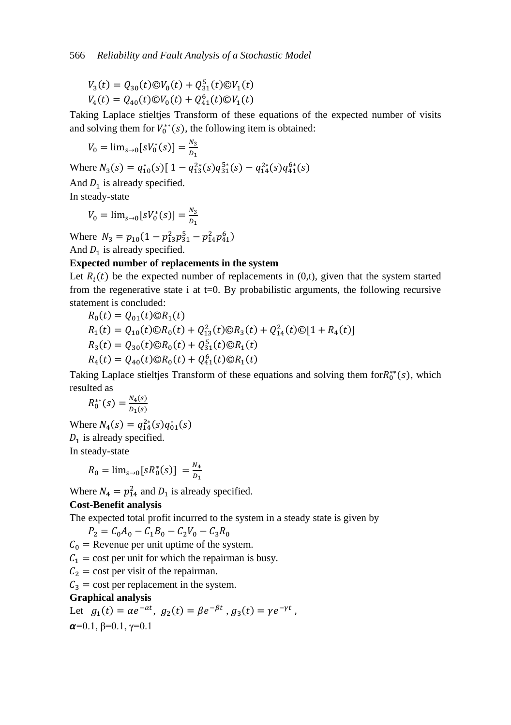$$
V_3(t) = Q_{30}(t) \mathbb{O}V_0(t) + Q_{31}^5(t) \mathbb{O}V_1(t)
$$
  

$$
V_4(t) = Q_{40}(t) \mathbb{O}V_0(t) + Q_{41}^6(t) \mathbb{O}V_1(t)
$$

Taking Laplace stieltjes Transform of these equations of the expected number of visits and solving them for  $V_0^{**}(s)$ , the following item is obtained:

$$
V_0 = \lim_{s \to 0} [sV_0^*(s)] = \frac{N_3}{D_1}
$$

Where  $N_3(s) = q_{10}^*(s) [1 - q_{13}^{2*}(s) q_{31}^{5*}(s) - q_{14}^{2*}(s) q_{41}^{6*}(s)]$ 

And  $D_1$  is already specified.

In steady-state

$$
V_0 = \lim_{s \to 0} [sV_0^*(s)] = \frac{N_3}{D_1}
$$

Where  $N_3 = p_{10}(1 - p_{13}^2 p_{31}^5 - p_{14}^2 p_{41}^6)$ And  $D_1$  is already specified.

## **Expected number of replacements in the system**

Let  $R_i(t)$  be the expected number of replacements in (0,t), given that the system started from the regenerative state i at  $t=0$ . By probabilistic arguments, the following recursive statement is concluded:

$$
R_0(t) = Q_{01}(t) \odot R_1(t)
$$
  
\n
$$
R_1(t) = Q_{10}(t) \odot R_0(t) + Q_{13}^2(t) \odot R_3(t) + Q_{14}^2(t) \odot [1 + R_4(t)]
$$
  
\n
$$
R_3(t) = Q_{30}(t) \odot R_0(t) + Q_{31}^5(t) \odot R_1(t)
$$
  
\n
$$
R_4(t) = Q_{40}(t) \odot R_0(t) + Q_{41}^6(t) \odot R_1(t)
$$

Taking Laplace stieltjes Transform of these equations and solving them for $R_0^{**}(s)$ , which resulted as

$$
R_0^{**}(s) = \frac{N_4(s)}{D_1(s)}
$$

Where  $N_4(s) = q_{14}^{2*}(s)q_{01}^*(s)$  $D_1$  is already specified.

In steady-state

$$
R_0 = \lim_{s \to 0} [sR_0^*(s)] = \frac{N_4}{D_1}
$$

Where  $N_4 = p_{14}^2$  and  $D_1$  is already specified.

#### **Cost-Benefit analysis**

The expected total profit incurred to the system in a steady state is given by

$$
P_2 = C_0 A_0 - C_1 B_0 - C_2 V_0 - C_3 R_0
$$

 $C_0$  = Revenue per unit uptime of the system.

 $C_1$  = cost per unit for which the repairman is busy.

 $C_2$  = cost per visit of the repairman.

 $C_3$  = cost per replacement in the system.

## **Graphical analysis**

Let  $g_1(t) = \alpha e^{-\alpha t}, g_2(t) = \beta e^{-\beta t}, g_3(t) = \gamma e^{-\gamma t}$ ,  $\alpha$ =0.1, β=0.1, γ=0.1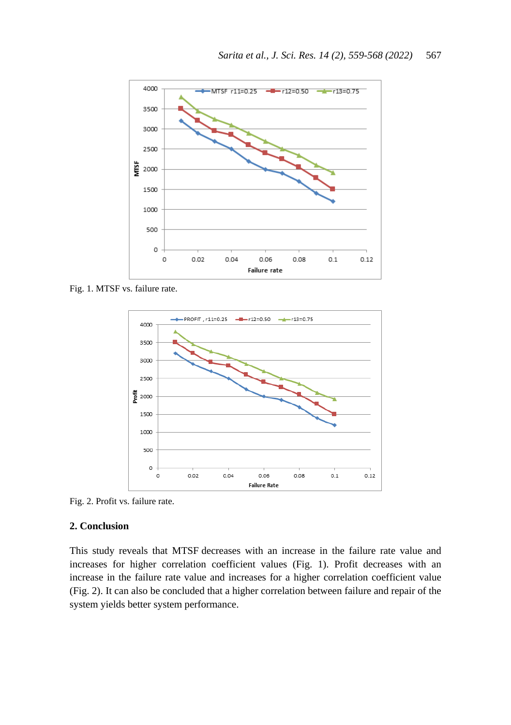

Fig. 1. MTSF vs. failure rate.



Fig. 2. Profit vs. failure rate.

## **2. Conclusion**

This study reveals that MTSF decreases with an increase in the failure rate value and increases for higher correlation coefficient values (Fig. 1). Profit decreases with an increase in the failure rate value and increases for a higher correlation coefficient value (Fig. 2). It can also be concluded that a higher correlation between failure and repair of the system yields better system performance.